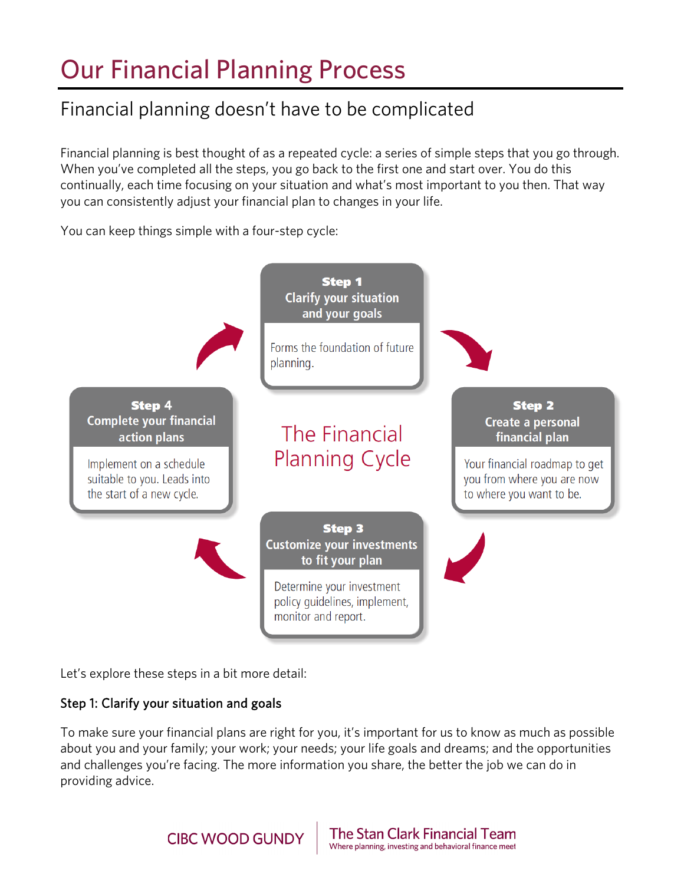# Our Financial Planning Process

## Financial planning doesn't have to be complicated

 Financial planning is best thought of as a repeated cycle: a series of simple steps that you go through. When you've completed all the steps, you go back to the first one and start over. You do this continually, each time focusing on your situation and what's most important to you then. That way you can consistently adjust your financial plan to changes in your life.

You can keep things simple with a four-step cycle:



Let's explore these steps in a bit more detail:

### Step 1: Clarify your situation and goals

To make sure your financial plans are right for you, it's important for us to know as much as possible about you and your family; your work; your needs; your life goals and dreams; and the opportunities and challenges you're facing. The more information you share, the better the job we can do in providing advice.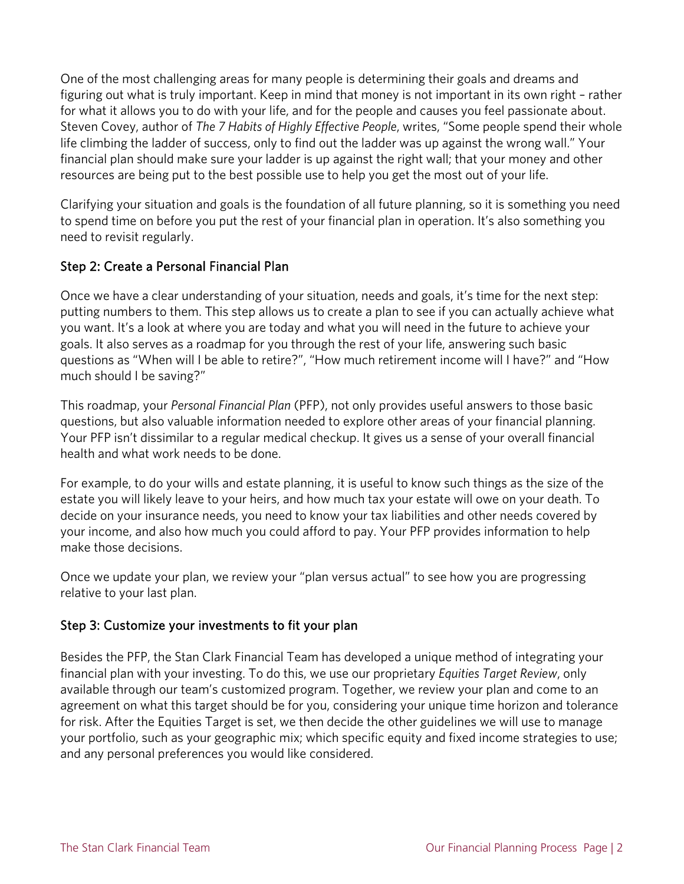One of the most challenging areas for many people is determining their goals and dreams and figuring out what is truly important. Keep in mind that money is not important in its own right – rather for what it allows you to do with your life, and for the people and causes you feel passionate about. Steven Covey, author of *The 7 Habits of Highly Effective People*, writes, "Some people spend their whole life climbing the ladder of success, only to find out the ladder was up against the wrong wall." Your financial plan should make sure your ladder is up against the right wall; that your money and other resources are being put to the best possible use to help you get the most out of your life.

Clarifying your situation and goals is the foundation of all future planning, so it is something you need to spend time on before you put the rest of your financial plan in operation. It's also something you need to revisit regularly.

#### Step 2: Create a Personal Financial Plan

Once we have a clear understanding of your situation, needs and goals, it's time for the next step: putting numbers to them. This step allows us to create a plan to see if you can actually achieve what you want. It's a look at where you are today and what you will need in the future to achieve your goals. It also serves as a roadmap for you through the rest of your life, answering such basic questions as "When will I be able to retire?", "How much retirement income will I have?" and "How much should I be saving?"

This roadmap, your *Personal Financial Plan* (PFP), not only provides useful answers to those basic questions, but also valuable information needed to explore other areas of your financial planning. Your PFP isn't dissimilar to a regular medical checkup. It gives us a sense of your overall financial health and what work needs to be done.

For example, to do your wills and estate planning, it is useful to know such things as the size of the estate you will likely leave to your heirs, and how much tax your estate will owe on your death. To decide on your insurance needs, you need to know your tax liabilities and other needs covered by your income, and also how much you could afford to pay. Your PFP provides information to help make those decisions.

Once we update your plan, we review your "plan versus actual" to see how you are progressing relative to your last plan.

### Step 3: Customize your investments to fit your plan

Besides the PFP, the Stan Clark Financial Team has developed a unique method of integrating your financial plan with your investing. To do this, we use our proprietary *Equities Target Review*, only available through our team's customized program. Together, we review your plan and come to an agreement on what this target should be for you, considering your unique time horizon and tolerance for risk. After the Equities Target is set, we then decide the other guidelines we will use to manage your portfolio, such as your geographic mix; which specific equity and fixed income strategies to use; and any personal preferences you would like considered.